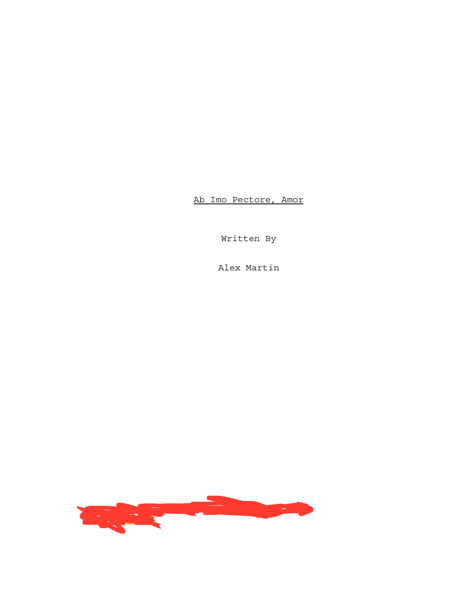Ab Imo Pectore, Amor

Written By

Alex Martin

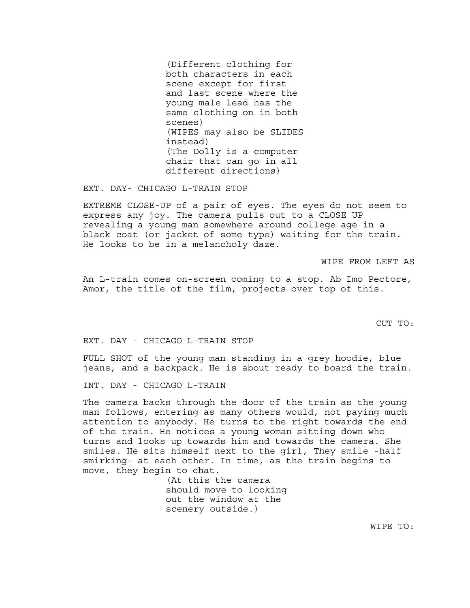(Different clothing for both characters in each scene except for first and last scene where the young male lead has the same clothing on in both scenes) (WIPES may also be SLIDES instead) (The Dolly is a computer chair that can go in all different directions)

EXT. DAY- CHICAGO L-TRAIN STOP

EXTREME CLOSE-UP of a pair of eyes. The eyes do not seem to express any joy. The camera pulls out to a CLOSE UP revealing a young man somewhere around college age in a black coat (or jacket of some type) waiting for the train. He looks to be in a melancholy daze.

WIPE FROM LEFT AS

An L-train comes on-screen coming to a stop. Ab Imo Pectore, Amor, the title of the film, projects over top of this.

CUT TO:

EXT. DAY - CHICAGO L-TRAIN STOP

FULL SHOT of the young man standing in a grey hoodie, blue jeans, and a backpack. He is about ready to board the train.

INT. DAY - CHICAGO L-TRAIN

The camera backs through the door of the train as the young man follows, entering as many others would, not paying much attention to anybody. He turns to the right towards the end of the train. He notices a young woman sitting down who turns and looks up towards him and towards the camera. She smiles. He sits himself next to the girl, They smile -half smirking- at each other. In time, as the train begins to move, they begin to chat.

> (At this the camera should move to looking out the window at the scenery outside.)

> > WIPE TO: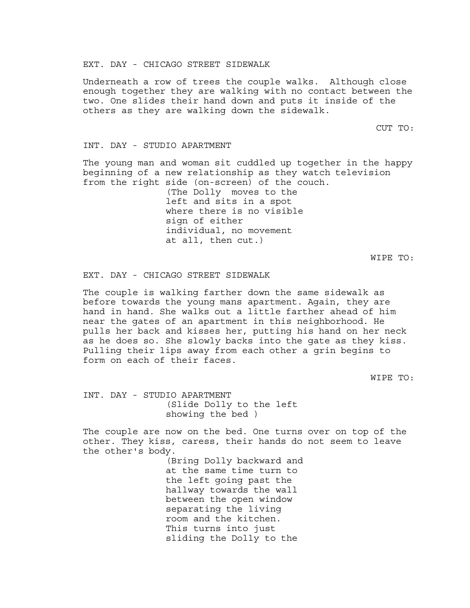EXT. DAY - CHICAGO STREET SIDEWALK

Underneath a row of trees the couple walks. Although close enough together they are walking with no contact between the two. One slides their hand down and puts it inside of the others as they are walking down the sidewalk.

CUT TO:

## INT. DAY - STUDIO APARTMENT

The young man and woman sit cuddled up together in the happy beginning of a new relationship as they watch television from the right side (on-screen) of the couch.

> (The Dolly moves to the left and sits in a spot where there is no visible sign of either individual, no movement at all, then cut.)

> > WIPE TO:

## EXT. DAY - CHICAGO STREET SIDEWALK

The couple is walking farther down the same sidewalk as before towards the young mans apartment. Again, they are hand in hand. She walks out a little farther ahead of him near the gates of an apartment in this neighborhood. He pulls her back and kisses her, putting his hand on her neck as he does so. She slowly backs into the gate as they kiss. Pulling their lips away from each other a grin begins to form on each of their faces.

WIPE TO:

INT. DAY - STUDIO APARTMENT (Slide Dolly to the left showing the bed )

The couple are now on the bed. One turns over on top of the other. They kiss, caress, their hands do not seem to leave the other's body.

> (Bring Dolly backward and at the same time turn to the left going past the hallway towards the wall between the open window separating the living room and the kitchen. This turns into just sliding the Dolly to the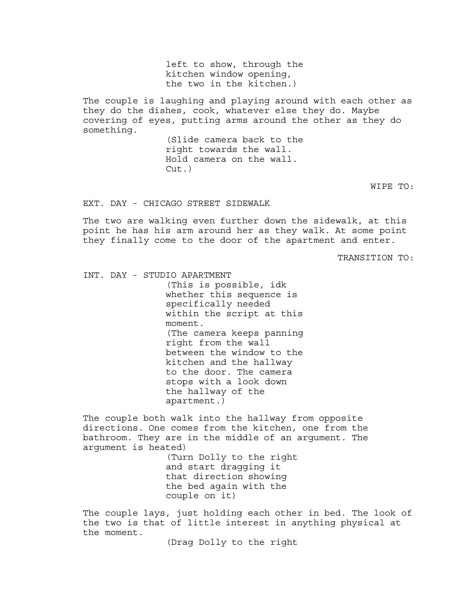left to show, through the kitchen window opening, the two in the kitchen.)

The couple is laughing and playing around with each other as they do the dishes, cook, whatever else they do. Maybe covering of eyes, putting arms around the other as they do something.

> (Slide camera back to the right towards the wall. Hold camera on the wall.  $Cut.$ )

> > WIPE TO:

EXT. DAY - CHICAGO STREET SIDEWALK

The two are walking even further down the sidewalk, at this point he has his arm around her as they walk. At some point they finally come to the door of the apartment and enter.

TRANSITION TO:

INT. DAY - STUDIO APARTMENT (This is possible, idk whether this sequence is specifically needed within the script at this moment. (The camera keeps panning right from the wall between the window to the kitchen and the hallway to the door. The camera stops with a look down the hallway of the apartment.)

The couple both walk into the hallway from opposite directions. One comes from the kitchen, one from the bathroom. They are in the middle of an argument. The argument is heated)

> (Turn Dolly to the right and start dragging it that direction showing the bed again with the couple on it)

The couple lays, just holding each other in bed. The look of the two is that of little interest in anything physical at the moment.

(Drag Dolly to the right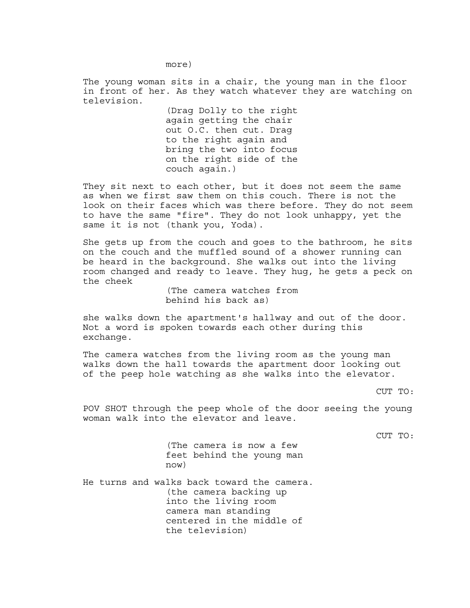more)

The young woman sits in a chair, the young man in the floor in front of her. As they watch whatever they are watching on television.

> (Drag Dolly to the right again getting the chair out O.C. then cut. Drag to the right again and bring the two into focus on the right side of the couch again.)

They sit next to each other, but it does not seem the same as when we first saw them on this couch. There is not the look on their faces which was there before. They do not seem to have the same "fire". They do not look unhappy, yet the same it is not (thank you, Yoda).

She gets up from the couch and goes to the bathroom, he sits on the couch and the muffled sound of a shower running can be heard in the background. She walks out into the living room changed and ready to leave. They hug, he gets a peck on the cheek

> (The camera watches from behind his back as)

she walks down the apartment's hallway and out of the door. Not a word is spoken towards each other during this exchange.

The camera watches from the living room as the young man walks down the hall towards the apartment door looking out of the peep hole watching as she walks into the elevator.

POV SHOT through the peep whole of the door seeing the young woman walk into the elevator and leave.

CUT TO:

(The camera is now a few feet behind the young man now)

He turns and walks back toward the camera. (the camera backing up into the living room camera man standing centered in the middle of the television)